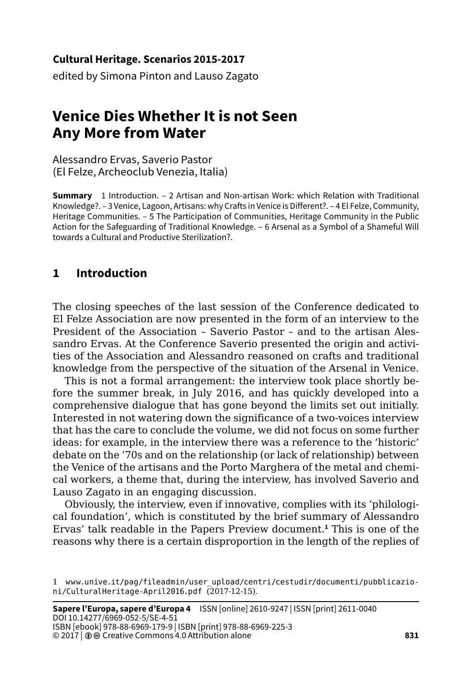#### **Cultural Heritage. Scenarios 2015-2017**

edited by Simona Pinton and Lauso Zagato

# **Venice Dies Whether It is not Seen Any More from Water**

Alessandro Ervas, Saverio Pastor (El Felze, Archeoclub Venezia, Italia)

**Summary** 1 Introduction. – 2 Artisan and Non-artisan Work: which Relation with Traditional Knowledge?. – 3 Venice, Lagoon, Artisans: why Crafts in Venice is Different?. – 4 El Felze, Community, Heritage Communities. – 5 The Participation of Communities, Heritage Community in the Public Action for the Safeguarding of Traditional Knowledge. – 6 Arsenal as a Symbol of a Shameful Will towards a Cultural and Productive Sterilization?.

## **1 Introduction**

The closing speeches of the last session of the Conference dedicated to El Felze Association are now presented in the form of an interview to the President of the Association – Saverio Pastor – and to the artisan Alessandro Ervas. At the Conference Saverio presented the origin and activities of the Association and Alessandro reasoned on crafts and traditional knowledge from the perspective of the situation of the Arsenal in Venice.

This is not a formal arrangement: the interview took place shortly before the summer break, in July 2016, and has quickly developed into a comprehensive dialogue that has gone beyond the limits set out initially. Interested in not watering down the significance of a two-voices interview that has the care to conclude the volume, we did not focus on some further ideas: for example, in the interview there was a reference to the 'historic' debate on the '70s and on the relationship (or lack of relationship) between the Venice of the artisans and the Porto Marghera of the metal and chemical workers, a theme that, during the interview, has involved Saverio and Lauso Zagato in an engaging discussion.

Obviously, the interview, even if innovative, complies with its 'philological foundation', which is constituted by the brief summary of Alessandro Ervas' talk readable in the Papers Preview document.**<sup>1</sup>** This is one of the reasons why there is a certain disproportion in the length of the replies of

<sup>1</sup> [www.unive.it/pag/fileadmin/user\\_upload/centri/cestudir/documenti/pubblicazio](http://www.unive.it/pag/fileadmin/user_upload/centri/cestudir/documenti/pubblicazioni/CulturalHeritage-April2016.pdf)[ni/CulturalHeritage-April2016.pdf](http://www.unive.it/pag/fileadmin/user_upload/centri/cestudir/documenti/pubblicazioni/CulturalHeritage-April2016.pdf) (2017-12-15).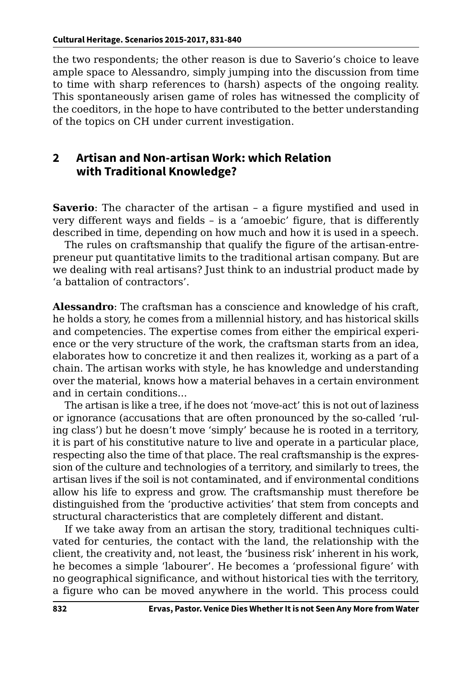the two respondents; the other reason is due to Saverio's choice to leave ample space to Alessandro, simply jumping into the discussion from time to time with sharp references to (harsh) aspects of the ongoing reality. This spontaneously arisen game of roles has witnessed the complicity of the coeditors, in the hope to have contributed to the better understanding of the topics on CH under current investigation.

#### **2 Artisan and Non-artisan Work: which Relation with Traditional Knowledge?**

**Saverio**: The character of the artisan – a figure mystified and used in very different ways and fields – is a 'amoebic' figure, that is differently described in time, depending on how much and how it is used in a speech.

The rules on craftsmanship that qualify the figure of the artisan-entrepreneur put quantitative limits to the traditional artisan company. But are we dealing with real artisans? Just think to an industrial product made by 'a battalion of contractors'.

**Alessandro**: The craftsman has a conscience and knowledge of his craft, he holds a story, he comes from a millennial history, and has historical skills and competencies. The expertise comes from either the empirical experience or the very structure of the work, the craftsman starts from an idea, elaborates how to concretize it and then realizes it, working as a part of a chain. The artisan works with style, he has knowledge and understanding over the material, knows how a material behaves in a certain environment and in certain conditions...

The artisan is like a tree, if he does not 'move-act' this is not out of laziness or ignorance (accusations that are often pronounced by the so-called 'ruling class') but he doesn't move 'simply' because he is rooted in a territory, it is part of his constitutive nature to live and operate in a particular place, respecting also the time of that place. The real craftsmanship is the expression of the culture and technologies of a territory, and similarly to trees, the artisan lives if the soil is not contaminated, and if environmental conditions allow his life to express and grow. The craftsmanship must therefore be distinguished from the 'productive activities' that stem from concepts and structural characteristics that are completely different and distant.

If we take away from an artisan the story, traditional techniques cultivated for centuries, the contact with the land, the relationship with the client, the creativity and, not least, the 'business risk' inherent in his work, he becomes a simple 'labourer'. He becomes a 'professional figure' with no geographical significance, and without historical ties with the territory, a figure who can be moved anywhere in the world. This process could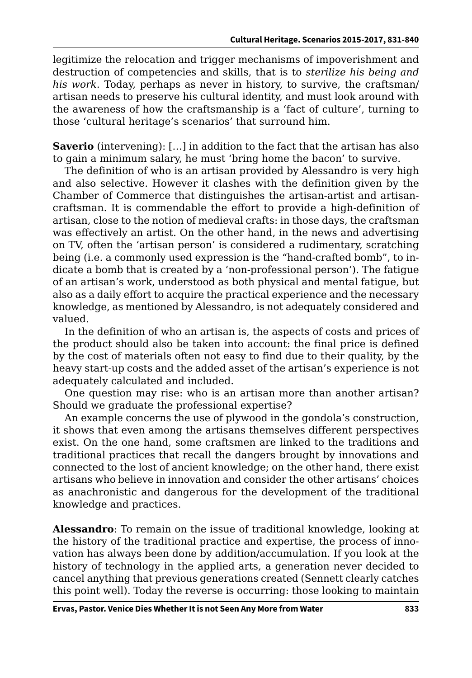legitimize the relocation and trigger mechanisms of impoverishment and destruction of competencies and skills, that is to *sterilize his being and his work*. Today, perhaps as never in history, to survive, the craftsman/ artisan needs to preserve his cultural identity, and must look around with the awareness of how the craftsmanship is a 'fact of culture', turning to those 'cultural heritage's scenarios' that surround him.

**Saverio** (intervening): [...] in addition to the fact that the artisan has also to gain a minimum salary, he must 'bring home the bacon' to survive.

The definition of who is an artisan provided by Alessandro is very high and also selective. However it clashes with the definition given by the Chamber of Commerce that distinguishes the artisan-artist and artisancraftsman. It is commendable the effort to provide a high-definition of artisan, close to the notion of medieval crafts: in those days, the craftsman was effectively an artist. On the other hand, in the news and advertising on TV, often the 'artisan person' is considered a rudimentary, scratching being (i.e. a commonly used expression is the "hand-crafted bomb", to indicate a bomb that is created by a 'non-professional person'). The fatigue of an artisan's work, understood as both physical and mental fatigue, but also as a daily effort to acquire the practical experience and the necessary knowledge, as mentioned by Alessandro, is not adequately considered and valued.

In the definition of who an artisan is, the aspects of costs and prices of the product should also be taken into account: the final price is defined by the cost of materials often not easy to find due to their quality, by the heavy start-up costs and the added asset of the artisan's experience is not adequately calculated and included.

One question may rise: who is an artisan more than another artisan? Should we graduate the professional expertise?

An example concerns the use of plywood in the gondola's construction, it shows that even among the artisans themselves different perspectives exist. On the one hand, some craftsmen are linked to the traditions and traditional practices that recall the dangers brought by innovations and connected to the lost of ancient knowledge; on the other hand, there exist artisans who believe in innovation and consider the other artisans' choices as anachronistic and dangerous for the development of the traditional knowledge and practices.

**Alessandro**: To remain on the issue of traditional knowledge, looking at the history of the traditional practice and expertise, the process of innovation has always been done by addition/accumulation. If you look at the history of technology in the applied arts, a generation never decided to cancel anything that previous generations created (Sennett clearly catches this point well). Today the reverse is occurring: those looking to maintain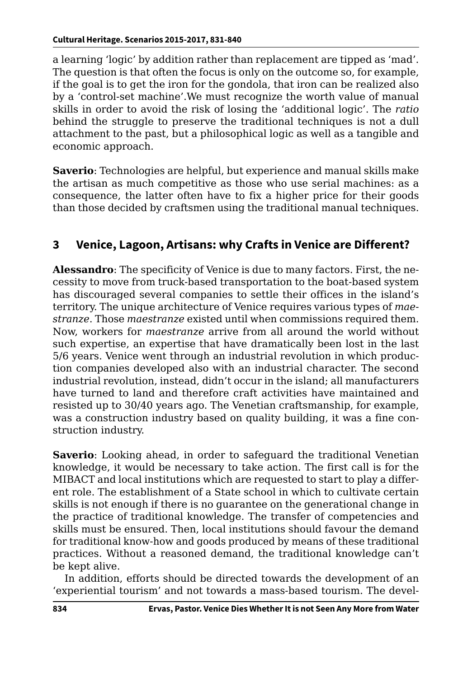a learning 'logic' by addition rather than replacement are tipped as 'mad'. The question is that often the focus is only on the outcome so, for example, if the goal is to get the iron for the gondola, that iron can be realized also by a 'control-set machine'.We must recognize the worth value of manual skills in order to avoid the risk of losing the 'additional logic'. The *ratio* behind the struggle to preserve the traditional techniques is not a dull attachment to the past, but a philosophical logic as well as a tangible and economic approach.

**Saverio**: Technologies are helpful, but experience and manual skills make the artisan as much competitive as those who use serial machines: as a consequence, the latter often have to fix a higher price for their goods than those decided by craftsmen using the traditional manual techniques.

# **3 Venice, Lagoon, Artisans: why Crafts in Venice are Different?**

**Alessandro**: The specificity of Venice is due to many factors. First, the necessity to move from truck-based transportation to the boat-based system has discouraged several companies to settle their offices in the island's territory. The unique architecture of Venice requires various types of *maestranze*. Those *maestranze* existed until when commissions required them. Now, workers for *maestranze* arrive from all around the world without such expertise, an expertise that have dramatically been lost in the last 5/6 years. Venice went through an industrial revolution in which production companies developed also with an industrial character. The second industrial revolution, instead, didn't occur in the island; all manufacturers have turned to land and therefore craft activities have maintained and resisted up to 30/40 years ago. The Venetian craftsmanship, for example, was a construction industry based on quality building, it was a fine construction industry.

**Saverio**: Looking ahead, in order to safeguard the traditional Venetian knowledge, it would be necessary to take action. The first call is for the MIBACT and local institutions which are requested to start to play a different role. The establishment of a State school in which to cultivate certain skills is not enough if there is no guarantee on the generational change in the practice of traditional knowledge. The transfer of competencies and skills must be ensured. Then, local institutions should favour the demand for traditional know-how and goods produced by means of these traditional practices. Without a reasoned demand, the traditional knowledge can't be kept alive.

In addition, efforts should be directed towards the development of an 'experiential tourism' and not towards a mass-based tourism. The devel-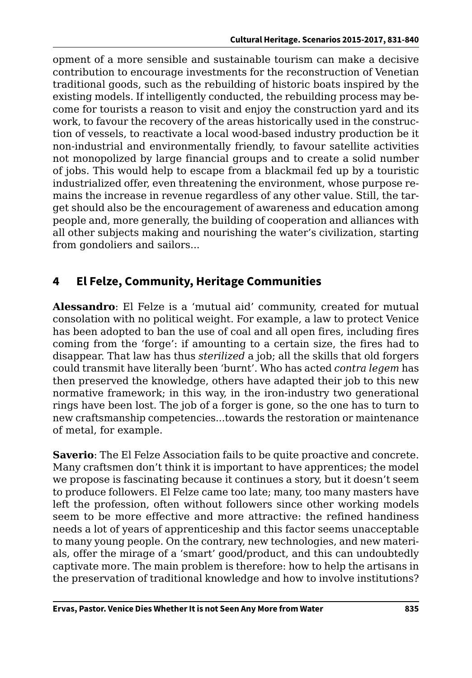opment of a more sensible and sustainable tourism can make a decisive contribution to encourage investments for the reconstruction of Venetian traditional goods, such as the rebuilding of historic boats inspired by the existing models. If intelligently conducted, the rebuilding process may become for tourists a reason to visit and enjoy the construction yard and its work, to favour the recovery of the areas historically used in the construction of vessels, to reactivate a local wood-based industry production be it non-industrial and environmentally friendly, to favour satellite activities not monopolized by large financial groups and to create a solid number of jobs. This would help to escape from a blackmail fed up by a touristic industrialized offer, even threatening the environment, whose purpose remains the increase in revenue regardless of any other value. Still, the target should also be the encouragement of awareness and education among people and, more generally, the building of cooperation and alliances with all other subjects making and nourishing the water's civilization, starting from gondoliers and sailors...

# **4 El Felze, Community, Heritage Communities**

**Alessandro**: El Felze is a 'mutual aid' community, created for mutual consolation with no political weight. For example, a law to protect Venice has been adopted to ban the use of coal and all open fires, including fires coming from the 'forge': if amounting to a certain size, the fires had to disappear. That law has thus *sterilized* a job; all the skills that old forgers could transmit have literally been 'burnt'. Who has acted *contra legem* has then preserved the knowledge, others have adapted their job to this new normative framework; in this way, in the iron-industry two generational rings have been lost. The job of a forger is gone, so the one has to turn to new craftsmanship competencies...towards the restoration or maintenance of metal, for example.

**Saverio**: The El Felze Association fails to be quite proactive and concrete. Many craftsmen don't think it is important to have apprentices; the model we propose is fascinating because it continues a story, but it doesn't seem to produce followers. El Felze came too late; many, too many masters have left the profession, often without followers since other working models seem to be more effective and more attractive: the refined handiness needs a lot of years of apprenticeship and this factor seems unacceptable to many young people. On the contrary, new technologies, and new materials, offer the mirage of a 'smart' good/product, and this can undoubtedly captivate more. The main problem is therefore: how to help the artisans in the preservation of traditional knowledge and how to involve institutions?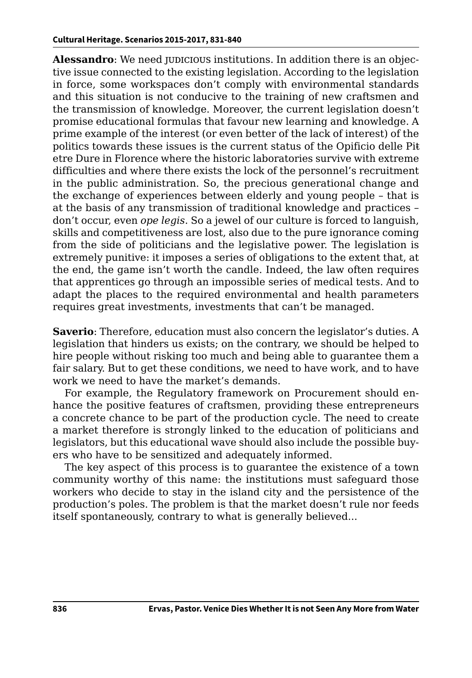**Alessandro**: We need judicious institutions. In addition there is an objective issue connected to the existing legislation. According to the legislation in force, some workspaces don't comply with environmental standards and this situation is not conducive to the training of new craftsmen and the transmission of knowledge. Moreover, the current legislation doesn't promise educational formulas that favour new learning and knowledge. A prime example of the interest (or even better of the lack of interest) of the politics towards these issues is the current status of the Opificio delle Pit etre Dure in Florence where the historic laboratories survive with extreme difficulties and where there exists the lock of the personnel's recruitment in the public administration. So, the precious generational change and the exchange of experiences between elderly and young people – that is at the basis of any transmission of traditional knowledge and practices – don't occur, even *ope legis*. So a jewel of our culture is forced to languish, skills and competitiveness are lost, also due to the pure ignorance coming from the side of politicians and the legislative power. The legislation is extremely punitive: it imposes a series of obligations to the extent that, at the end, the game isn't worth the candle. Indeed, the law often requires that apprentices go through an impossible series of medical tests. And to adapt the places to the required environmental and health parameters requires great investments, investments that can't be managed.

**Saverio**: Therefore, education must also concern the legislator's duties. A legislation that hinders us exists; on the contrary, we should be helped to hire people without risking too much and being able to guarantee them a fair salary. But to get these conditions, we need to have work, and to have work we need to have the market's demands.

For example, the Regulatory framework on Procurement should enhance the positive features of craftsmen, providing these entrepreneurs a concrete chance to be part of the production cycle. The need to create a market therefore is strongly linked to the education of politicians and legislators, but this educational wave should also include the possible buyers who have to be sensitized and adequately informed.

The key aspect of this process is to guarantee the existence of a town community worthy of this name: the institutions must safeguard those workers who decide to stay in the island city and the persistence of the production's poles. The problem is that the market doesn't rule nor feeds itself spontaneously, contrary to what is generally believed...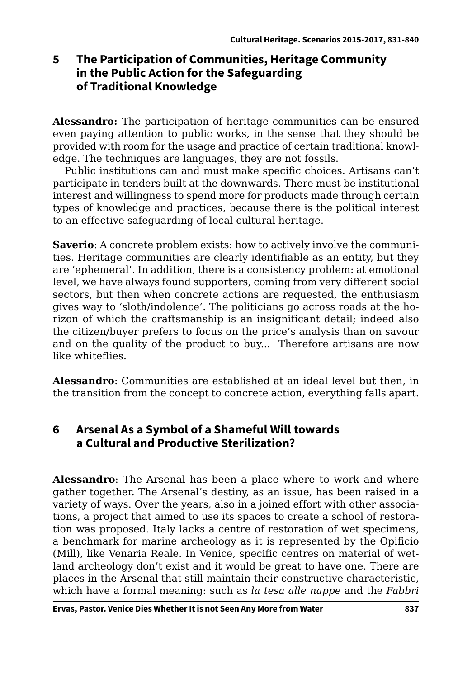# **5 The Participation of Communities, Heritage Community in the Public Action for the Safeguarding of Traditional Knowledge**

**Alessandro:** The participation of heritage communities can be ensured even paying attention to public works, in the sense that they should be provided with room for the usage and practice of certain traditional knowledge. The techniques are languages, they are not fossils.

Public institutions can and must make specific choices. Artisans can't participate in tenders built at the downwards. There must be institutional interest and willingness to spend more for products made through certain types of knowledge and practices, because there is the political interest to an effective safeguarding of local cultural heritage.

**Saverio**: A concrete problem exists: how to actively involve the communities. Heritage communities are clearly identifiable as an entity, but they are 'ephemeral'. In addition, there is a consistency problem: at emotional level, we have always found supporters, coming from very different social sectors, but then when concrete actions are requested, the enthusiasm gives way to 'sloth/indolence'. The politicians go across roads at the horizon of which the craftsmanship is an insignificant detail; indeed also the citizen/buyer prefers to focus on the price's analysis than on savour and on the quality of the product to buy... Therefore artisans are now like whiteflies.

**Alessandro**: Communities are established at an ideal level but then, in the transition from the concept to concrete action, everything falls apart.

## **6 Arsenal As a Symbol of a Shameful Will towards a Cultural and Productive Sterilization?**

**Alessandro**: The Arsenal has been a place where to work and where gather together. The Arsenal's destiny, as an issue, has been raised in a variety of ways. Over the years, also in a joined effort with other associations, a project that aimed to use its spaces to create a school of restoration was proposed. Italy lacks a centre of restoration of wet specimens, a benchmark for marine archeology as it is represented by the Opificio (Mill), like Venaria Reale. In Venice, specific centres on material of wetland archeology don't exist and it would be great to have one. There are places in the Arsenal that still maintain their constructive characteristic, which have a formal meaning: such as *la tesa alle nappe* and the *Fabbri*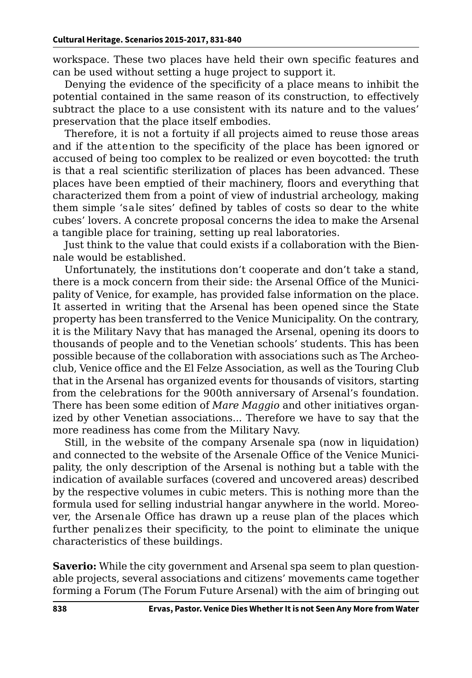workspace. These two places have held their own specific features and can be used without setting a huge project to support it.

Denying the evidence of the specificity of a place means to inhibit the potential contained in the same reason of its construction, to effectively subtract the place to a use consistent with its nature and to the values' preservation that the place itself embodies.

Therefore, it is not a fortuity if all projects aimed to reuse those areas and if the attention to the specificity of the place has been ignored or accused of being too complex to be realized or even boycotted: the truth is that a real scientific sterilization of places has been advanced. These places have been emptied of their machinery, floors and everything that characterized them from a point of view of industrial archeology, making them simple 'sale sites' defined by tables of costs so dear to the white cubes' lovers. A concrete proposal concerns the idea to make the Arsenal a tangible place for training, setting up real laboratories.

Just think to the value that could exists if a collaboration with the Biennale would be established.

Unfortunately, the institutions don't cooperate and don't take a stand, there is a mock concern from their side: the Arsenal Office of the Municipality of Venice, for example, has provided false information on the place. It asserted in writing that the Arsenal has been opened since the State property has been transferred to the Venice Municipality. On the contrary, it is the Military Navy that has managed the Arsenal, opening its doors to thousands of people and to the Venetian schools' students. This has been possible because of the collaboration with associations such as The Archeoclub, Venice office and the El Felze Association, as well as the Touring Club that in the Arsenal has organized events for thousands of visitors, starting from the celebrations for the 900th anniversary of Arsenal's foundation. There has been some edition of *Mare Maggio* and other initiatives organized by other Venetian associations... Therefore we have to say that the more readiness has come from the Military Navy.

Still, in the website of the company Arsenale spa (now in liquidation) and connected to the website of the Arsenale Office of the Venice Municipality, the only description of the Arsenal is nothing but a table with the indication of available surfaces (covered and uncovered areas) described by the respective volumes in cubic meters. This is nothing more than the formula used for selling industrial hangar anywhere in the world. Moreover, the Arsenale Office has drawn up a reuse plan of the places which further penalizes their specificity, to the point to eliminate the unique characteristics of these buildings.

**Saverio:** While the city government and Arsenal spa seem to plan questionable projects, several associations and citizens' movements came together forming a Forum (The Forum Future Arsenal) with the aim of bringing out